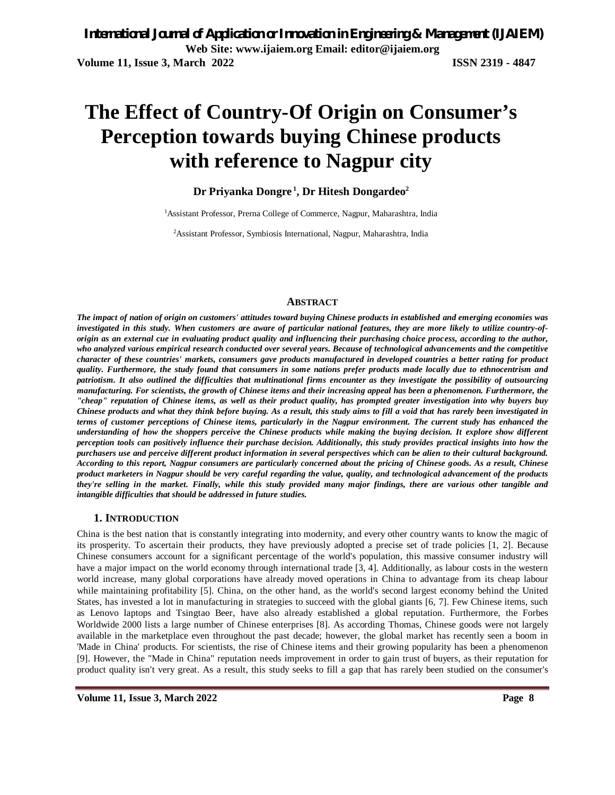# **The Effect of Country-Of Origin on Consumer's Perception towards buying Chinese products with reference to Nagpur city**

## **Dr Priyanka Dongre <sup>1</sup> , Dr Hitesh Dongardeo<sup>2</sup>**

<sup>1</sup>Assistant Professor, Prerna College of Commerce, Nagpur, Maharashtra, India

2Assistant Professor, Symbiosis International, Nagpur, Maharashtra, India

#### **ABSTRACT**

*The impact of nation of origin on customers' attitudes toward buying Chinese products in established and emerging economies was investigated in this study. When customers are aware of particular national features, they are more likely to utilize country-oforigin as an external cue in evaluating product quality and influencing their purchasing choice process, according to the author, who analyzed various empirical research conducted over several years. Because of technological advancements and the competitive character of these countries' markets, consumers gave products manufactured in developed countries a better rating for product quality. Furthermore, the study found that consumers in some nations prefer products made locally due to ethnocentrism and patriotism. It also outlined the difficulties that multinational firms encounter as they investigate the possibility of outsourcing manufacturing. For scientists, the growth of Chinese items and their increasing appeal has been a phenomenon. Furthermore, the "cheap" reputation of Chinese items, as well as their product quality, has prompted greater investigation into why buyers buy Chinese products and what they think before buying. As a result, this study aims to fill a void that has rarely been investigated in terms of customer perceptions of Chinese items, particularly in the Nagpur environment. The current study has enhanced the understanding of how the shoppers perceive the Chinese products while making the buying decision. It explore show different perception tools can positively influence their purchase decision. Additionally, this study provides practical insights into how the purchasers use and perceive different product information in several perspectives which can be alien to their cultural background. According to this report, Nagpur consumers are particularly concerned about the pricing of Chinese goods. As a result, Chinese product marketers in Nagpur should be very careful regarding the value, quality, and technological advancement of the products they're selling in the market. Finally, while this study provided many major findings, there are various other tangible and intangible difficulties that should be addressed in future studies.*

#### **1. INTRODUCTION**

China is the best nation that is constantly integrating into modernity, and every other country wants to know the magic of its prosperity. To ascertain their products, they have previously adopted a precise set of trade policies [1, 2]. Because Chinese consumers account for a significant percentage of the world's population, this massive consumer industry will have a major impact on the world economy through international trade [3, 4]. Additionally, as labour costs in the western world increase, many global corporations have already moved operations in China to advantage from its cheap labour while maintaining profitability [5]. China, on the other hand, as the world's second largest economy behind the United States, has invested a lot in manufacturing in strategies to succeed with the global giants [6, 7]. Few Chinese items, such as Lenovo laptops and Tsingtao Beer, have also already established a global reputation. Furthermore, the Forbes Worldwide 2000 lists a large number of Chinese enterprises [8]. As according Thomas, Chinese goods were not largely available in the marketplace even throughout the past decade; however, the global market has recently seen a boom in 'Made in China' products. For scientists, the rise of Chinese items and their growing popularity has been a phenomenon [9]. However, the "Made in China" reputation needs improvement in order to gain trust of buyers, as their reputation for product quality isn't very great. As a result, this study seeks to fill a gap that has rarely been studied on the consumer's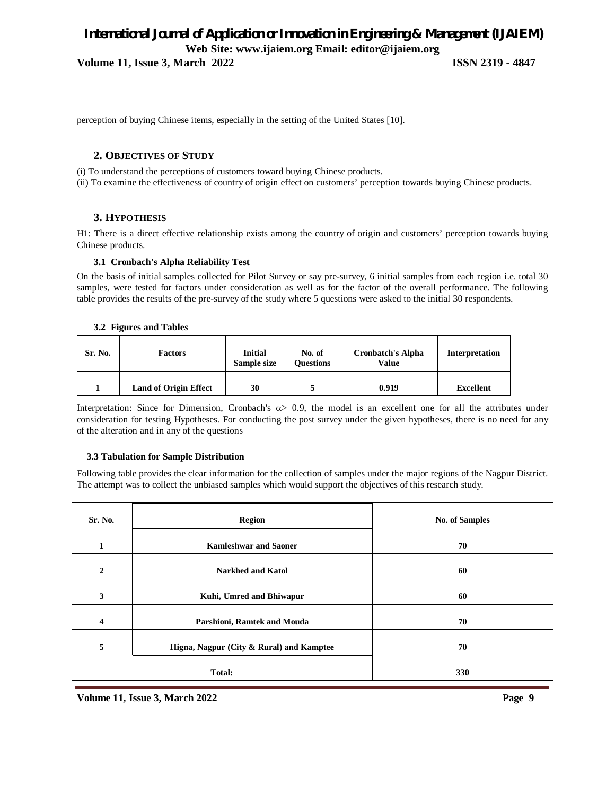## *International Journal of Application or Innovation in Engineering & Management (IJAIEM)* **Web Site: www.ijaiem.org Email: editor@ijaiem.org**

**Volume 11, Issue 3, March 2022 ISSN 2319 - 4847**

perception of buying Chinese items, especially in the setting of the United States [10].

#### **2. OBJECTIVES OF STUDY**

(i) To understand the perceptions of customers toward buying Chinese products. (ii) To examine the effectiveness of country of origin effect on customers' perception towards buying Chinese products.

#### **3. HYPOTHESIS**

H1: There is a direct effective relationship exists among the country of origin and customers' perception towards buying Chinese products.

#### **3.1 Cronbach's Alpha Reliability Test**

On the basis of initial samples collected for Pilot Survey or say pre-survey, 6 initial samples from each region i.e. total 30 samples, were tested for factors under consideration as well as for the factor of the overall performance. The following table provides the results of the pre-survey of the study where 5 questions were asked to the initial 30 respondents.

#### **3.2 Figures and Table***s*

| Sr. No. | <b>Factors</b>               | <b>Initial</b><br>Sample size | No. of<br><b>Ouestions</b> | <b>Cronbatch's Alpha</b><br>Value | Interpretation   |
|---------|------------------------------|-------------------------------|----------------------------|-----------------------------------|------------------|
|         | <b>Land of Origin Effect</b> | 30                            |                            | 0.919                             | <b>Excellent</b> |

Interpretation: Since for Dimension, Cronbach's  $\alpha$  0.9, the model is an excellent one for all the attributes under consideration for testing Hypotheses. For conducting the post survey under the given hypotheses, there is no need for any of the alteration and in any of the questions

#### **3.3 Tabulation for Sample Distribution**

Following table provides the clear information for the collection of samples under the major regions of the Nagpur District. The attempt was to collect the unbiased samples which would support the objectives of this research study.

| Sr. No.      | <b>Region</b>                            | <b>No. of Samples</b> |  |
|--------------|------------------------------------------|-----------------------|--|
| $\mathbf{1}$ | <b>Kamleshwar and Saoner</b>             | 70                    |  |
| $\mathbf{2}$ | <b>Narkhed and Katol</b>                 | 60                    |  |
| 3            | Kuhi, Umred and Bhiwapur                 | 60                    |  |
| 4            | Parshioni, Ramtek and Mouda              | 70                    |  |
| 5            | Higna, Nagpur (City & Rural) and Kamptee | 70                    |  |
|              | Total:                                   | 330                   |  |

**Volume 11, Issue 3, March 2022 Page 9**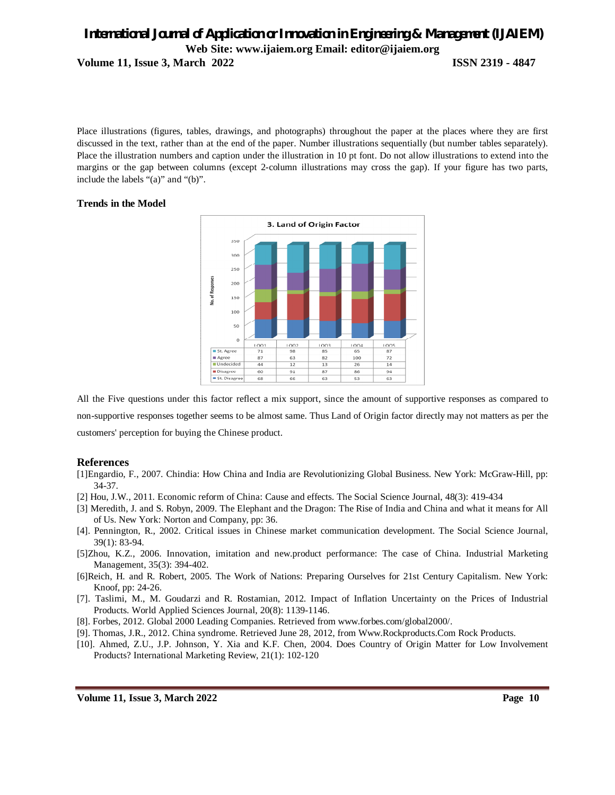## *International Journal of Application or Innovation in Engineering & Management (IJAIEM)* **Web Site: www.ijaiem.org Email: editor@ijaiem.org Volume 11, Issue 3, March 2022 ISSN 2319 - 4847**

Place illustrations (figures, tables, drawings, and photographs) throughout the paper at the places where they are first discussed in the text, rather than at the end of the paper. Number illustrations sequentially (but number tables separately). Place the illustration numbers and caption under the illustration in 10 pt font. Do not allow illustrations to extend into the margins or the gap between columns (except 2-column illustrations may cross the gap). If your figure has two parts, include the labels "(a)" and "(b)".

#### **Trends in the Model**



All the Five questions under this factor reflect a mix support, since the amount of supportive responses as compared to non-supportive responses together seems to be almost same. Thus Land of Origin factor directly may not matters as per the customers' perception for buying the Chinese product.

#### **References**

- [1]Engardio, F., 2007. Chindia: How China and India are Revolutionizing Global Business. New York: McGraw-Hill, pp: 34-37.
- [2] Hou, J.W., 2011. Economic reform of China: Cause and effects. The Social Science Journal, 48(3): 419-434
- [3] Meredith, J. and S. Robyn, 2009. The Elephant and the Dragon: The Rise of India and China and what it means for All of Us. New York: Norton and Company, pp: 36.
- [4]. Pennington, R., 2002. Critical issues in Chinese market communication development. The Social Science Journal, 39(1): 83-94.
- [5]Zhou, K.Z., 2006. Innovation, imitation and new.product performance: The case of China. Industrial Marketing Management, 35(3): 394-402.
- [6]Reich, H. and R. Robert, 2005. The Work of Nations: Preparing Ourselves for 21st Century Capitalism. New York: Knoof, pp: 24-26.
- [7]. Taslimi, M., M. Goudarzi and R. Rostamian, 2012. Impact of Inflation Uncertainty on the Prices of Industrial Products. World Applied Sciences Journal, 20(8): 1139-1146.
- [8]. Forbes, 2012. Global 2000 Leading Companies. Retrieved from www.forbes.com/global2000/.
- [9]. Thomas, J.R., 2012. China syndrome. Retrieved June 28, 2012, from Www.Rockproducts.Com Rock Products.
- [10]. Ahmed, Z.U., J.P. Johnson, Y. Xia and K.F. Chen, 2004. Does Country of Origin Matter for Low Involvement Products? International Marketing Review, 21(1): 102-120